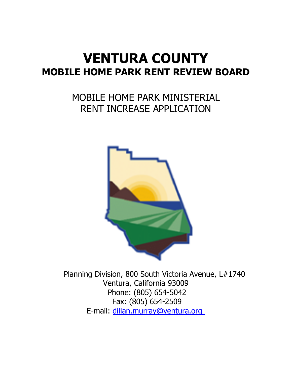# **VENTURA COUNTY MOBILE HOME PARK RENT REVIEW BOARD**

# MOBILE HOME PARK MINISTERIAL RENT INCREASE APPLICATION



Planning Division, 800 South Victoria Avenue, L#1740 Ventura, California 93009 Phone: (805) 654-5042 Fax: (805) 654-2509 E-mail: dillan.murray[@ventura.org](mailto:owen.deutsch@ventura.org)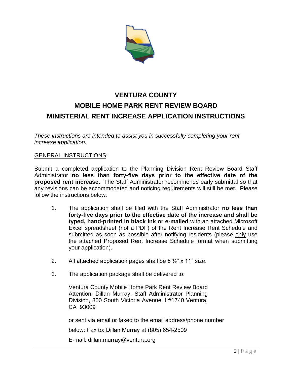

## **VENTURA COUNTY MOBILE HOME PARK RENT REVIEW BOARD MINISTERIAL RENT INCREASE APPLICATION INSTRUCTIONS**

*These instructions are intended to assist you in successfully completing your rent increase application.*

#### GENERAL INSTRUCTIONS:

Submit a completed application to the Planning Division Rent Review Board Staff Administrator **no less than forty-five days prior to the effective date of the proposed rent increase.** The Staff Administrator recommends early submittal so that any revisions can be accommodated and noticing requirements will still be met. Please follow the instructions below:

- 1. The application shall be filed with the Staff Administrator **no less than forty-five days prior to the effective date of the increase and shall be typed, hand-printed in black ink or e-mailed** with an attached Microsoft Excel spreadsheet (not a PDF) of the Rent Increase Rent Schedule and submitted as soon as possible after notifying residents (please only use the attached Proposed Rent Increase Schedule format when submitting your application).
- 2. All attached application pages shall be  $8\frac{1}{2}$  x 11" size.
- 3. The application package shall be delivered to:

Ventura County Mobile Home Park Rent Review Board Attention: Dillan Murray, Staff Administrator Planning Division, 800 South Victoria Avenue, L#1740 Ventura, CA 93009

or sent via email or faxed to the email address/phone number

below: Fax to: Dillan Murray at (805) 654-2509

E-mail: dillan.murray@ventura.org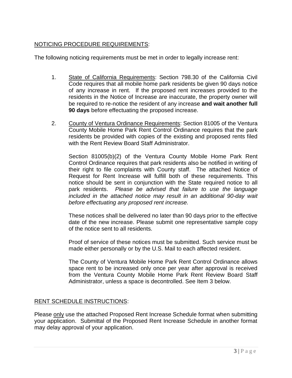#### NOTICING PROCEDURE REQUIREMENTS:

The following noticing requirements must be met in order to legally increase rent:

- 1. State of California Requirements: Section 798.30 of the California Civil Code requires that all mobile home park residents be given 90 days notice of any increase in rent. If the proposed rent increases provided to the residents in the Notice of Increase are inaccurate, the property owner will be required to re-notice the resident of any increase **and wait another full 90 days** before effectuating the proposed increase.
- 2. County of Ventura Ordinance Requirements: Section 81005 of the Ventura County Mobile Home Park Rent Control Ordinance requires that the park residents be provided with copies of the existing and proposed rents filed with the Rent Review Board Staff Administrator.

Section 81005(b)(2) of the Ventura County Mobile Home Park Rent Control Ordinance requires that park residents also be notified in writing of their right to file complaints with County staff. The attached Notice of Request for Rent Increase will fulfill both of these requirements. This notice should be sent in conjunction with the State required notice to all park residents. *Please be advised that failure to use the language included in the attached notice may result in an additional 90-day wait before effectuating any proposed rent increase.*

These notices shall be delivered no later than 90 days prior to the effective date of the new increase. Please submit one representative sample copy of the notice sent to all residents.

Proof of service of these notices must be submitted. Such service must be made either personally or by the U.S. Mail to each affected resident.

The County of Ventura Mobile Home Park Rent Control Ordinance allows space rent to be increased only once per year after approval is received from the Ventura County Mobile Home Park Rent Review Board Staff Administrator, unless a space is decontrolled. See Item 3 below.

#### RENT SCHEDULE INSTRUCTIONS:

Please only use the attached Proposed Rent Increase Schedule format when submitting your application. Submittal of the Proposed Rent Increase Schedule in another format may delay approval of your application.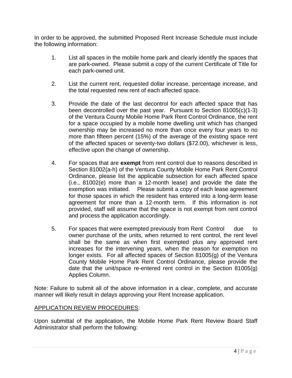In order to be approved, the submitted Proposed Rent Increase Schedule must include the following information:

- 1. List all spaces in the mobile home park and clearly identify the spaces that are park-owned. Please submit a copy of the current Certificate of Title for each park-owned unit.
- 2. List the current rent, requested dollar increase, percentage increase, and the total requested new rent of each affected space.
- 3. Provide the date of the last decontrol for each affected space that has been decontrolled over the past year. Pursuant to Section 81005(c)(1-3) of the Ventura County Mobile Home Park Rent Control Ordinance, the rent for a space occupied by a mobile home dwelling unit which has changed ownership may be increased no more than once every four years to no more than fifteen percent (15%) of the average of the existing space rent of the affected spaces or seventy-two dollars (\$72.00), whichever is less, effective upon the change of ownership.
- 4. For spaces that are **exempt** from rent control due to reasons described in Section 81002(a-h) of the Ventura County Mobile Home Park Rent Control Ordinance, please list the applicable subsection for each affected space (i.e., 81002(e) more than a 12-month lease) and provide the date the exemption was initiated. Please submit a copy of each lease agreement for those spaces in which the resident has entered into a long-term lease agreement for more than a 12-month term. If this information is not provided, staff will assume that the space is not exempt from rent control and process the application accordingly.
- 5. For spaces that were exempted previously from Rent Control due to owner purchase of the units, when returned to rent control, the rent level shall be the same as when first exempted plus any approved rent increases for the intervening years, when the reason for exemption no longer exists. For all affected spaces of Section 81005(g) of the Ventura County Mobile Home Park Rent Control Ordinance, please provide the date that the unit/space re-entered rent control in the Section 81005(g) Applies Column.

Note: Failure to submit all of the above information in a clear, complete, and accurate manner will likely result in delays approving your Rent Increase application.

#### APPLICATION REVIEW PROCEDURES:

Upon submittal of the application, the Mobile Home Park Rent Review Board Staff Administrator shall perform the following: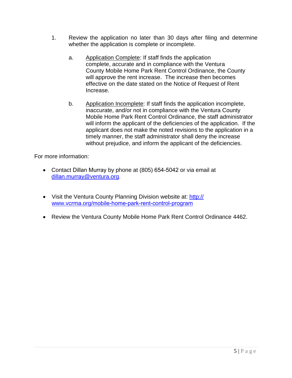- 1. Review the application no later than 30 days after filing and determine whether the application is complete or incomplete.
	- a. Application Complete: If staff finds the application complete, accurate and in compliance with the Ventura County Mobile Home Park Rent Control Ordinance, the County will approve the rent increase. The increase then becomes effective on the date stated on the Notice of Request of Rent Increase.
	- b. Application Incomplete: If staff finds the application incomplete, inaccurate, and/or not in compliance with the Ventura County Mobile Home Park Rent Control Ordinance, the staff administrator will inform the applicant of the deficiencies of the application. If the applicant does not make the noted revisions to the application in a timely manner, the staff administrator shall deny the increase without prejudice, and inform the applicant of the deficiencies.

For more information:

- Contact Dillan Murray by phone at (805) 654-5042 or via email at dillan.murray[@ventura.org.](mailto:franca.rosengren@ventura.org)
- Visit the Ventura County Planning Division website at: http:// www.vcrma.org/[mobile-home-park-rent-control-program](https://www.vcrma.org/mobile-home-park-rent-control-program)
- Review the Ventura County Mobile Home Park Rent Control Ordinance 4462.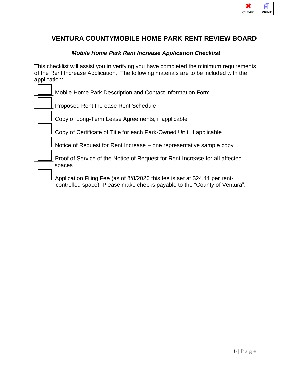

## **VENTURA COUNTYMOBILE HOME PARK RENT REVIEW BOARD**

#### *Mobile Home Park Rent Increase Application Checklist*

This checklist will assist you in verifying you have completed the minimum requirements of the Rent Increase Application. The following materials are to be included with the application:

|  | Mobile Home Park Description and Contact Information Form                                                                                                |
|--|----------------------------------------------------------------------------------------------------------------------------------------------------------|
|  | <b>Proposed Rent Increase Rent Schedule</b>                                                                                                              |
|  | Copy of Long-Term Lease Agreements, if applicable                                                                                                        |
|  | Copy of Certificate of Title for each Park-Owned Unit, if applicable                                                                                     |
|  | Notice of Request for Rent Increase - one representative sample copy                                                                                     |
|  | Proof of Service of the Notice of Request for Rent Increase for all affected<br>spaces                                                                   |
|  | Application Filing Fee (as of 8/8/2020 this fee is set at \$24.41 per rent-<br>controlled space). Please make checks payable to the "County of Ventura". |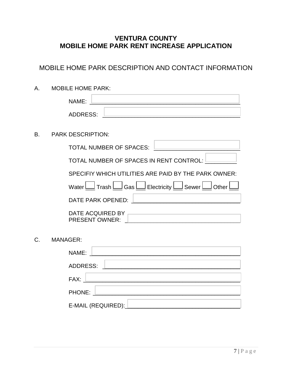## **VENTURA COUNTY MOBILE HOME PARK RENT INCREASE APPLICATION**

## MOBILE HOME PARK DESCRIPTION AND CONTACT INFORMATION

A. MOBILE HOME PARK: NAME:  $\overline{\phantom{a}}$ ADDRESS: B. PARK DESCRIPTION: TOTAL NUMBER OF SPACES: TOTAL NUMBER OF SPACES IN RENT CONTROL: SPECIFIY WHICH UTILITIES ARE PAID BY THE PARK OWNER: Water  $\Box$  Trash  $\Box$  Gas  $\Box$  Electricity  $\Box$  Sewer  $\Box$  Other  $\Box$ DATE PARK OPENED:  $\Box$ DATE ACQUIRED BY PRESENT OWNER: C. MANAGER: NAME: ADDRESS: FAX: \_\_\_\_\_\_\_\_\_\_\_\_\_\_\_\_\_\_\_\_\_\_\_\_\_\_\_\_\_\_\_\_\_\_\_\_\_\_\_\_\_\_\_\_\_\_\_\_\_

PHONE: E-MAIL (REQUIRED):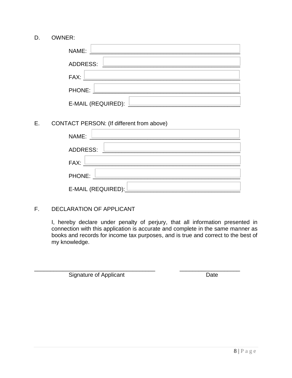D. OWNER:

| NAME:                                                                                             |
|---------------------------------------------------------------------------------------------------|
| ADDRESS:<br>the control of the control of the control of the                                      |
| FAX:<br>the control of the control of the control of the control of the control of the control of |
| PHONE:                                                                                            |
| E-MAIL (REQUIRED):                                                                                |

E. CONTACT PERSON: (If different from above)

| NAME:                                                                                                                                                                                                                          |
|--------------------------------------------------------------------------------------------------------------------------------------------------------------------------------------------------------------------------------|
| <b>ADDRESS:</b><br>the control of the control of the control of the control of the control of the control of                                                                                                                   |
| FAX: New York Party and the Second Second Second Second Second Second Second Second Second Second Second Second Second Second Second Second Second Second Second Second Second Second Second Second Second Second Second Secon |
|                                                                                                                                                                                                                                |
| E-MAIL (REQUIRED): Letter                                                                                                                                                                                                      |

#### F. DECLARATION OF APPLICANT

I, hereby declare under penalty of perjury, that all information presented in connection with this application is accurate and complete in the same manner as books and records for income tax purposes, and is true and correct to the best of my knowledge.

\_\_\_\_\_\_\_\_\_\_\_\_\_\_\_\_\_\_\_\_\_\_\_\_\_\_\_\_\_\_\_\_\_\_\_\_\_\_ \_\_\_\_\_\_\_\_\_\_\_\_\_\_\_\_\_\_\_

Signature of Applicant Date Date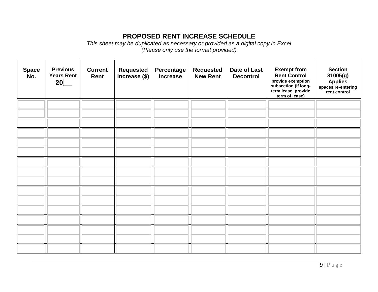## **PROPOSED RENT INCREASE SCHEDULE**

*This sheet may be duplicated as necessary or provided as a digital copy in Excel (Please only use the format provided)*

| <b>Space</b><br>No. | <b>Previous</b><br><b>Years Rent</b><br>20 | <b>Current</b><br>Rent | <b>Requested</b><br>Increase (\$) | Percentage<br><b>Increase</b> | <b>Requested</b><br><b>New Rent</b> | Date of Last<br><b>Decontrol</b> | <b>Exempt from</b><br><b>Rent Control</b><br>provide exemption<br>subsection (if long-<br>term lease, provide<br>term of lease) | <b>Section</b><br>81005(g)<br><b>Applies</b><br>spaces re-entering<br>rent control |
|---------------------|--------------------------------------------|------------------------|-----------------------------------|-------------------------------|-------------------------------------|----------------------------------|---------------------------------------------------------------------------------------------------------------------------------|------------------------------------------------------------------------------------|
|                     |                                            |                        |                                   |                               |                                     |                                  |                                                                                                                                 |                                                                                    |
|                     |                                            |                        |                                   |                               |                                     |                                  |                                                                                                                                 |                                                                                    |
|                     |                                            |                        |                                   |                               |                                     |                                  |                                                                                                                                 |                                                                                    |
|                     |                                            |                        |                                   |                               |                                     |                                  |                                                                                                                                 |                                                                                    |
|                     |                                            |                        |                                   |                               |                                     |                                  |                                                                                                                                 |                                                                                    |
|                     |                                            |                        |                                   |                               |                                     |                                  |                                                                                                                                 |                                                                                    |
|                     |                                            |                        |                                   |                               |                                     |                                  |                                                                                                                                 |                                                                                    |
|                     |                                            |                        |                                   |                               |                                     |                                  |                                                                                                                                 |                                                                                    |
|                     |                                            |                        |                                   |                               |                                     |                                  |                                                                                                                                 |                                                                                    |
|                     |                                            |                        |                                   |                               |                                     |                                  |                                                                                                                                 |                                                                                    |
|                     |                                            |                        |                                   |                               |                                     |                                  |                                                                                                                                 |                                                                                    |
|                     |                                            |                        |                                   |                               |                                     |                                  |                                                                                                                                 |                                                                                    |
|                     |                                            |                        |                                   |                               |                                     |                                  |                                                                                                                                 |                                                                                    |
|                     |                                            |                        |                                   |                               |                                     |                                  |                                                                                                                                 |                                                                                    |
|                     |                                            |                        |                                   |                               |                                     |                                  |                                                                                                                                 |                                                                                    |
|                     |                                            |                        |                                   |                               |                                     |                                  |                                                                                                                                 |                                                                                    |
|                     |                                            |                        |                                   |                               |                                     |                                  |                                                                                                                                 |                                                                                    |
|                     |                                            |                        |                                   |                               |                                     |                                  |                                                                                                                                 |                                                                                    |
|                     |                                            |                        |                                   |                               |                                     |                                  |                                                                                                                                 |                                                                                    |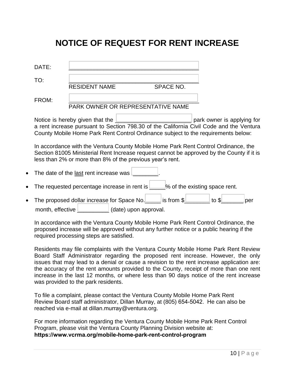## **NOTICE OF REQUEST FOR RENT INCREASE**

| DATE:                                                                                                                                                                                                                                                                 |  |  |                      |                                                                          |                                   |                                                                 |
|-----------------------------------------------------------------------------------------------------------------------------------------------------------------------------------------------------------------------------------------------------------------------|--|--|----------------------|--------------------------------------------------------------------------|-----------------------------------|-----------------------------------------------------------------|
| TO:                                                                                                                                                                                                                                                                   |  |  |                      |                                                                          |                                   |                                                                 |
|                                                                                                                                                                                                                                                                       |  |  |                      |                                                                          |                                   |                                                                 |
| FROM:                                                                                                                                                                                                                                                                 |  |  |                      |                                                                          |                                   |                                                                 |
| Notice is hereby given that the <u>Lesseng example and park</u> owner is applying for<br>a rent increase pursuant to Section 798.30 of the California Civil Code and the Ventura<br>County Mobile Home Park Rent Control Ordinance subject to the requirements below: |  |  |                      |                                                                          |                                   |                                                                 |
| In accordance with the Ventura County Mobile Home Park Rent Control Ordinance, the<br>Section 81005 Ministerial Rent Increase request cannot be approved by the County if it is<br>less than 2% or more than 8% of the previous year's rent.                          |  |  |                      |                                                                          |                                   |                                                                 |
| The date of the last rent increase was L                                                                                                                                                                                                                              |  |  |                      |                                                                          |                                   |                                                                 |
| The requested percentage increase in rent is $\boxed{\phantom{a}}$ % of the existing space rent.                                                                                                                                                                      |  |  |                      |                                                                          |                                   |                                                                 |
|                                                                                                                                                                                                                                                                       |  |  |                      |                                                                          |                                   | per                                                             |
|                                                                                                                                                                                                                                                                       |  |  | <b>RESIDENT NAME</b> | <b>SPACE NO.</b><br>month, effective <b>Letter</b> (date) upon approval. | PARK OWNER OR REPRESENTATIVE NAME | The proposed dollar increase for Space No. in Summar is from \$ |

In accordance with the Ventura County Mobile Home Park Rent Control Ordinance, the proposed increase will be approved without any further notice or a public hearing if the required processing steps are satisfied.

Residents may file complaints with the Ventura County Mobile Home Park Rent Review Board Staff Administrator regarding the proposed rent increase. However, the only issues that may lead to a denial or cause a revision to the rent increase application are: the accuracy of the rent amounts provided to the County, receipt of more than one rent increase in the last 12 months, or where less than 90 days notice of the rent increase was provided to the park residents.

To file a complaint, please contact the Ventura County Mobile Home Park Rent Review Board staff administrator, Dillan Murray, at (805) 654-5042. He can also be reached via e-mail at dillan.murray[@ventura.org.](mailto:franca.rosengren@ventura.org)

For more information regarding the Ventura County Mobile Home Park Rent Control Program, please visit the Ventura County Planning Division website at: **[https://www.vcrma.org/mobile-home-park-rent-control-p](https://www.vcrma.org/mobile-home-park-rent-control-program)rogram**